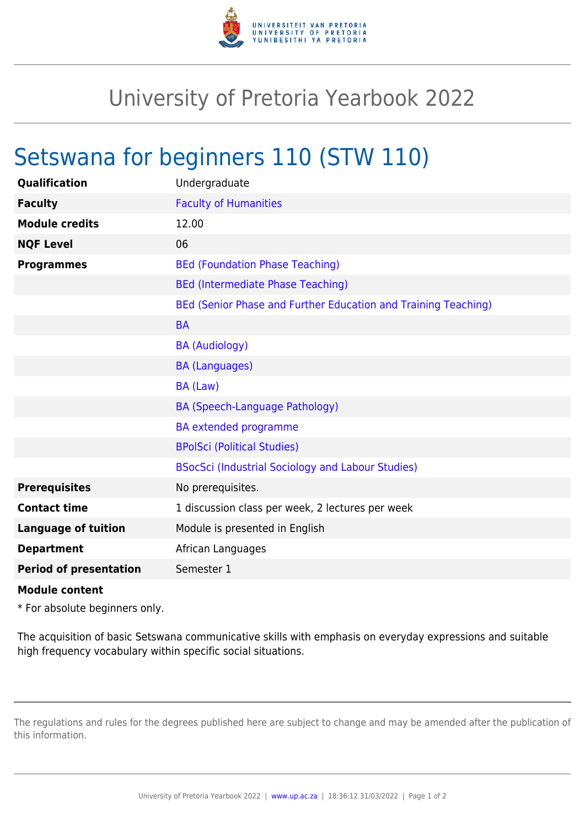

## University of Pretoria Yearbook 2022

## Setswana for beginners 110 (STW 110)

| Undergraduate                                                  |
|----------------------------------------------------------------|
| <b>Faculty of Humanities</b>                                   |
| 12.00                                                          |
| 06                                                             |
| <b>BEd (Foundation Phase Teaching)</b>                         |
| <b>BEd (Intermediate Phase Teaching)</b>                       |
| BEd (Senior Phase and Further Education and Training Teaching) |
| <b>BA</b>                                                      |
| <b>BA (Audiology)</b>                                          |
| <b>BA (Languages)</b>                                          |
| BA (Law)                                                       |
| <b>BA (Speech-Language Pathology)</b>                          |
| <b>BA</b> extended programme                                   |
| <b>BPolSci (Political Studies)</b>                             |
| BSocSci (Industrial Sociology and Labour Studies)              |
| No prerequisites.                                              |
| 1 discussion class per week, 2 lectures per week               |
| Module is presented in English                                 |
| African Languages                                              |
| Semester 1                                                     |
|                                                                |

## **Module content**

\* For absolute beginners only.

The acquisition of basic Setswana communicative skills with emphasis on everyday expressions and suitable high frequency vocabulary within specific social situations.

The regulations and rules for the degrees published here are subject to change and may be amended after the publication of this information.